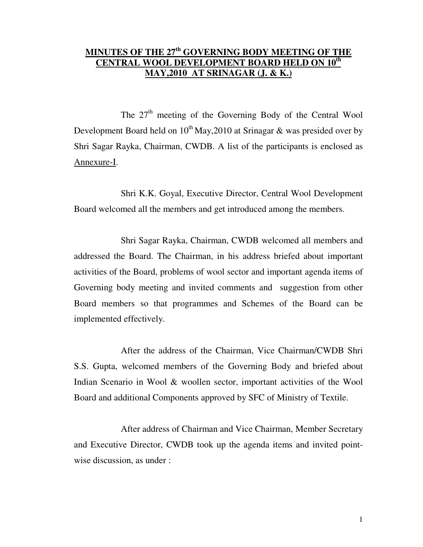# **MINUTES OF THE 27th GOVERNING BODY MEETING OF THE CENTRAL WOOL DEVELOPMENT BOARD HELD ON 10th MAY,2010 AT SRINAGAR (J. & K.)**

The 27<sup>th</sup> meeting of the Governing Body of the Central Wool Development Board held on  $10^{th}$  May, 2010 at Srinagar & was presided over by Shri Sagar Rayka, Chairman, CWDB. A list of the participants is enclosed as Annexure-I.

 Shri K.K. Goyal, Executive Director, Central Wool Development Board welcomed all the members and get introduced among the members.

 Shri Sagar Rayka, Chairman, CWDB welcomed all members and addressed the Board. The Chairman, in his address briefed about important activities of the Board, problems of wool sector and important agenda items of Governing body meeting and invited comments and suggestion from other Board members so that programmes and Schemes of the Board can be implemented effectively.

 After the address of the Chairman, Vice Chairman/CWDB Shri S.S. Gupta, welcomed members of the Governing Body and briefed about Indian Scenario in Wool & woollen sector, important activities of the Wool Board and additional Components approved by SFC of Ministry of Textile.

 After address of Chairman and Vice Chairman, Member Secretary and Executive Director, CWDB took up the agenda items and invited pointwise discussion, as under :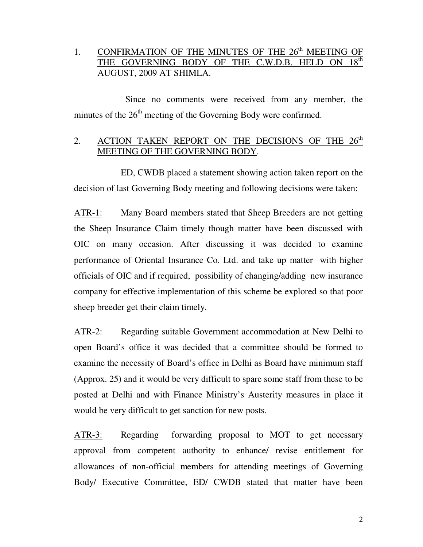# 1. CONFIRMATION OF THE MINUTES OF THE  $26<sup>th</sup>$  MEETING OF THE GOVERNING BODY OF THE C.W.D.B. HELD ON  $18<sup>th</sup>$ AUGUST, 2009 AT SHIMLA.

 Since no comments were received from any member, the minutes of the 26<sup>th</sup> meeting of the Governing Body were confirmed.

# 2. ACTION TAKEN REPORT ON THE DECISIONS OF THE  $26<sup>th</sup>$ MEETING OF THE GOVERNING BODY.

 ED, CWDB placed a statement showing action taken report on the decision of last Governing Body meeting and following decisions were taken:

ATR-1: Many Board members stated that Sheep Breeders are not getting the Sheep Insurance Claim timely though matter have been discussed with OIC on many occasion. After discussing it was decided to examine performance of Oriental Insurance Co. Ltd. and take up matter with higher officials of OIC and if required, possibility of changing/adding new insurance company for effective implementation of this scheme be explored so that poor sheep breeder get their claim timely.

ATR-2: Regarding suitable Government accommodation at New Delhi to open Board's office it was decided that a committee should be formed to examine the necessity of Board's office in Delhi as Board have minimum staff (Approx. 25) and it would be very difficult to spare some staff from these to be posted at Delhi and with Finance Ministry's Austerity measures in place it would be very difficult to get sanction for new posts.

ATR-3: Regarding forwarding proposal to MOT to get necessary approval from competent authority to enhance/ revise entitlement for allowances of non-official members for attending meetings of Governing Body/ Executive Committee, ED/ CWDB stated that matter have been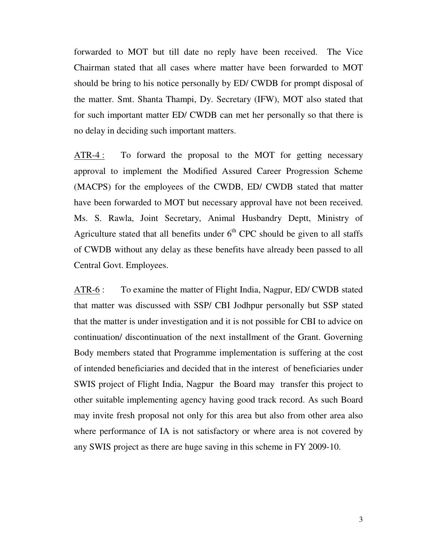forwarded to MOT but till date no reply have been received. The Vice Chairman stated that all cases where matter have been forwarded to MOT should be bring to his notice personally by ED/ CWDB for prompt disposal of the matter. Smt. Shanta Thampi, Dy. Secretary (IFW), MOT also stated that for such important matter ED/ CWDB can met her personally so that there is no delay in deciding such important matters.

ATR-4 : To forward the proposal to the MOT for getting necessary approval to implement the Modified Assured Career Progression Scheme (MACPS) for the employees of the CWDB, ED/ CWDB stated that matter have been forwarded to MOT but necessary approval have not been received. Ms. S. Rawla, Joint Secretary, Animal Husbandry Deptt, Ministry of Agriculture stated that all benefits under  $6<sup>th</sup>$  CPC should be given to all staffs of CWDB without any delay as these benefits have already been passed to all Central Govt. Employees.

ATR-6 : To examine the matter of Flight India, Nagpur, ED/ CWDB stated that matter was discussed with SSP/ CBI Jodhpur personally but SSP stated that the matter is under investigation and it is not possible for CBI to advice on continuation/ discontinuation of the next installment of the Grant. Governing Body members stated that Programme implementation is suffering at the cost of intended beneficiaries and decided that in the interest of beneficiaries under SWIS project of Flight India, Nagpur the Board may transfer this project to other suitable implementing agency having good track record. As such Board may invite fresh proposal not only for this area but also from other area also where performance of IA is not satisfactory or where area is not covered by any SWIS project as there are huge saving in this scheme in FY 2009-10.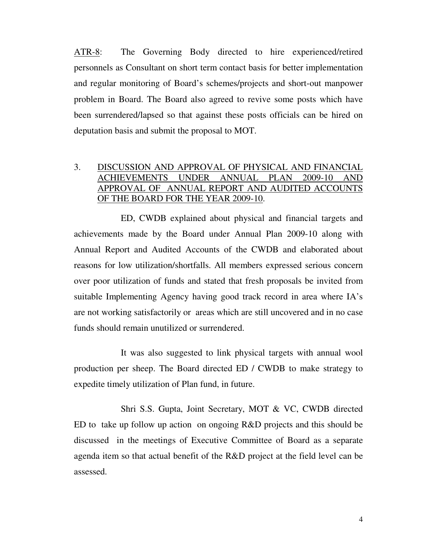ATR-8: The Governing Body directed to hire experienced/retired personnels as Consultant on short term contact basis for better implementation and regular monitoring of Board's schemes/projects and short-out manpower problem in Board. The Board also agreed to revive some posts which have been surrendered/lapsed so that against these posts officials can be hired on deputation basis and submit the proposal to MOT.

## 3. DISCUSSION AND APPROVAL OF PHYSICAL AND FINANCIAL ACHIEVEMENTS UNDER ANNUAL PLAN 2009-10 AND APPROVAL OF ANNUAL REPORT AND AUDITED ACCOUNTS OF THE BOARD FOR THE YEAR 2009-10.

 ED, CWDB explained about physical and financial targets and achievements made by the Board under Annual Plan 2009-10 along with Annual Report and Audited Accounts of the CWDB and elaborated about reasons for low utilization/shortfalls. All members expressed serious concern over poor utilization of funds and stated that fresh proposals be invited from suitable Implementing Agency having good track record in area where IA's are not working satisfactorily or areas which are still uncovered and in no case funds should remain unutilized or surrendered.

 It was also suggested to link physical targets with annual wool production per sheep. The Board directed ED / CWDB to make strategy to expedite timely utilization of Plan fund, in future.

 Shri S.S. Gupta, Joint Secretary, MOT & VC, CWDB directed ED to take up follow up action on ongoing R&D projects and this should be discussed in the meetings of Executive Committee of Board as a separate agenda item so that actual benefit of the R&D project at the field level can be assessed.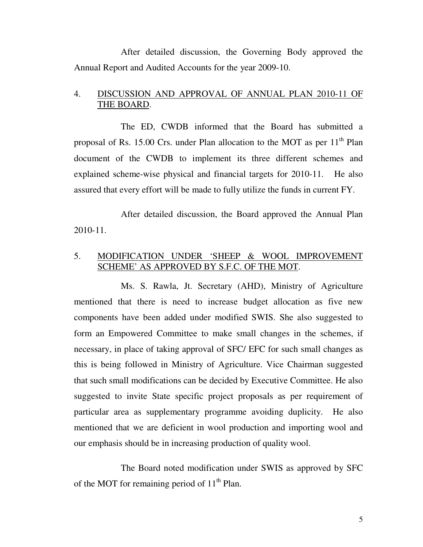After detailed discussion, the Governing Body approved the Annual Report and Audited Accounts for the year 2009-10.

### 4. DISCUSSION AND APPROVAL OF ANNUAL PLAN 2010-11 OF THE BOARD.

 The ED, CWDB informed that the Board has submitted a proposal of Rs. 15.00 Crs. under Plan allocation to the MOT as per  $11<sup>th</sup>$  Plan document of the CWDB to implement its three different schemes and explained scheme-wise physical and financial targets for 2010-11. He also assured that every effort will be made to fully utilize the funds in current FY.

 After detailed discussion, the Board approved the Annual Plan 2010-11.

#### 5. MODIFICATION UNDER 'SHEEP & WOOL IMPROVEMENT SCHEME' AS APPROVED BY S.F.C. OF THE MOT.

 Ms. S. Rawla, Jt. Secretary (AHD), Ministry of Agriculture mentioned that there is need to increase budget allocation as five new components have been added under modified SWIS. She also suggested to form an Empowered Committee to make small changes in the schemes, if necessary, in place of taking approval of SFC/ EFC for such small changes as this is being followed in Ministry of Agriculture. Vice Chairman suggested that such small modifications can be decided by Executive Committee. He also suggested to invite State specific project proposals as per requirement of particular area as supplementary programme avoiding duplicity. He also mentioned that we are deficient in wool production and importing wool and our emphasis should be in increasing production of quality wool.

 The Board noted modification under SWIS as approved by SFC of the MOT for remaining period of  $11<sup>th</sup>$  Plan.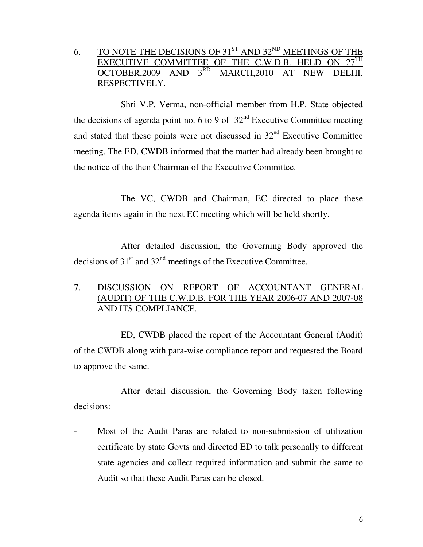6. TO NOTE THE DECISIONS OF  $31^{ST}$  AND  $32^{ND}$  MEETINGS OF THE EXECUTIVE COMMITTEE OF THE C.W.D.B. HELD ON  $27^{\text{TH}}$ OCTOBER, 2009 AND 3RD MARCH, 2010 AT NEW DELHI, RESPECTIVELY.

 Shri V.P. Verma, non-official member from H.P. State objected the decisions of agenda point no. 6 to 9 of  $32<sup>nd</sup>$  Executive Committee meeting and stated that these points were not discussed in  $32<sup>nd</sup>$  Executive Committee meeting. The ED, CWDB informed that the matter had already been brought to the notice of the then Chairman of the Executive Committee.

 The VC, CWDB and Chairman, EC directed to place these agenda items again in the next EC meeting which will be held shortly.

 After detailed discussion, the Governing Body approved the decisions of  $31<sup>st</sup>$  and  $32<sup>nd</sup>$  meetings of the Executive Committee.

### 7. DISCUSSION ON REPORT OF ACCOUNTANT GENERAL (AUDIT) OF THE C.W.D.B. FOR THE YEAR 2006-07 AND 2007-08 AND ITS COMPLIANCE.

 ED, CWDB placed the report of the Accountant General (Audit) of the CWDB along with para-wise compliance report and requested the Board to approve the same.

 After detail discussion, the Governing Body taken following decisions:

Most of the Audit Paras are related to non-submission of utilization certificate by state Govts and directed ED to talk personally to different state agencies and collect required information and submit the same to Audit so that these Audit Paras can be closed.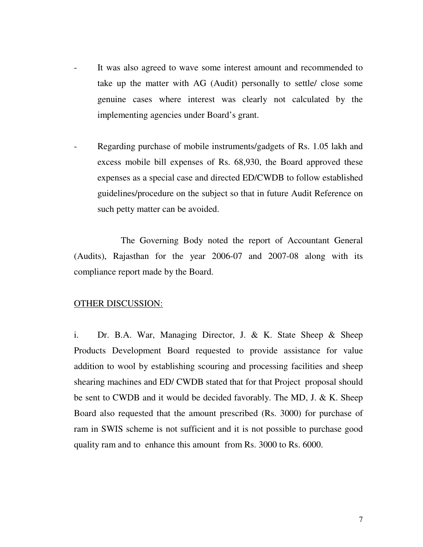- It was also agreed to wave some interest amount and recommended to take up the matter with AG (Audit) personally to settle/ close some genuine cases where interest was clearly not calculated by the implementing agencies under Board's grant.
- Regarding purchase of mobile instruments/gadgets of Rs. 1.05 lakh and excess mobile bill expenses of Rs. 68,930, the Board approved these expenses as a special case and directed ED/CWDB to follow established guidelines/procedure on the subject so that in future Audit Reference on such petty matter can be avoided.

 The Governing Body noted the report of Accountant General (Audits), Rajasthan for the year 2006-07 and 2007-08 along with its compliance report made by the Board.

#### OTHER DISCUSSION:

i. Dr. B.A. War, Managing Director, J. & K. State Sheep & Sheep Products Development Board requested to provide assistance for value addition to wool by establishing scouring and processing facilities and sheep shearing machines and ED/ CWDB stated that for that Project proposal should be sent to CWDB and it would be decided favorably. The MD, J. & K. Sheep Board also requested that the amount prescribed (Rs. 3000) for purchase of ram in SWIS scheme is not sufficient and it is not possible to purchase good quality ram and to enhance this amount from Rs. 3000 to Rs. 6000.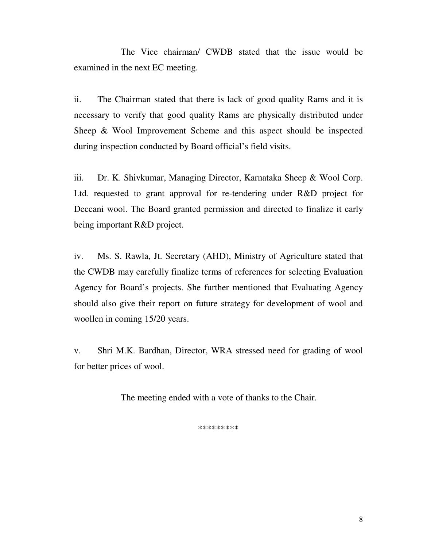The Vice chairman/ CWDB stated that the issue would be examined in the next EC meeting.

ii. The Chairman stated that there is lack of good quality Rams and it is necessary to verify that good quality Rams are physically distributed under Sheep & Wool Improvement Scheme and this aspect should be inspected during inspection conducted by Board official's field visits.

iii. Dr. K. Shivkumar, Managing Director, Karnataka Sheep & Wool Corp. Ltd. requested to grant approval for re-tendering under R&D project for Deccani wool. The Board granted permission and directed to finalize it early being important R&D project.

iv. Ms. S. Rawla, Jt. Secretary (AHD), Ministry of Agriculture stated that the CWDB may carefully finalize terms of references for selecting Evaluation Agency for Board's projects. She further mentioned that Evaluating Agency should also give their report on future strategy for development of wool and woollen in coming 15/20 years.

v. Shri M.K. Bardhan, Director, WRA stressed need for grading of wool for better prices of wool.

The meeting ended with a vote of thanks to the Chair.

\*\*\*\*\*\*\*\*\*